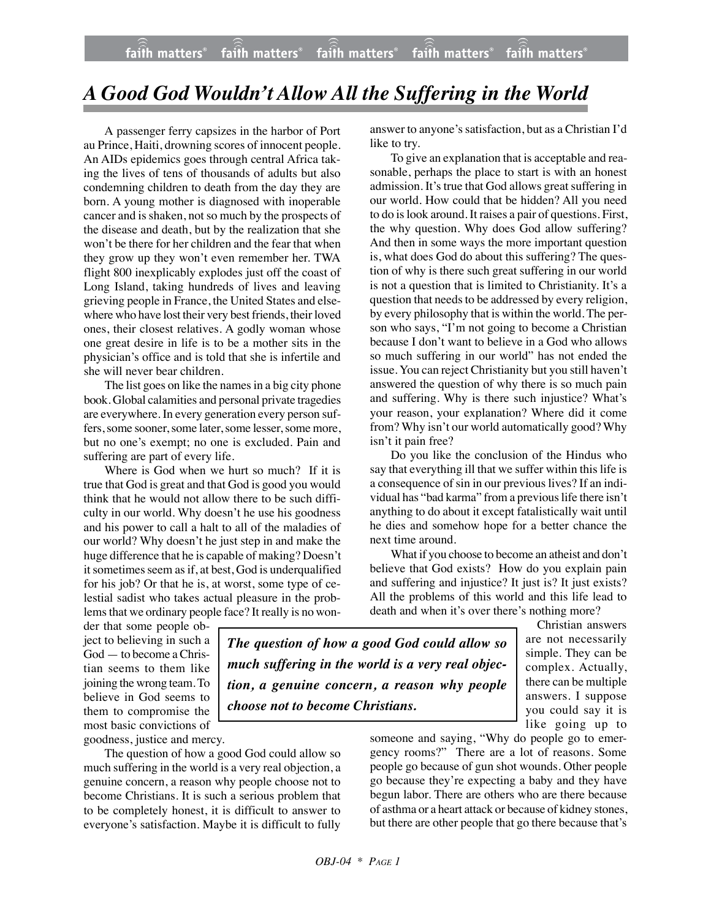## *A Good God Wouldn't Allow All the Suffering in the World*

A passenger ferry capsizes in the harbor of Port au Prince, Haiti, drowning scores of innocent people. An AIDs epidemics goes through central Africa taking the lives of tens of thousands of adults but also condemning children to death from the day they are born. A young mother is diagnosed with inoperable cancer and is shaken, not so much by the prospects of the disease and death, but by the realization that she won't be there for her children and the fear that when they grow up they won't even remember her. TWA flight 800 inexplicably explodes just off the coast of Long Island, taking hundreds of lives and leaving grieving people in France, the United States and elsewhere who have lost their very best friends, their loved ones, their closest relatives. A godly woman whose one great desire in life is to be a mother sits in the physician's office and is told that she is infertile and she will never bear children.

The list goes on like the names in a big city phone book. Global calamities and personal private tragedies are everywhere. In every generation every person suffers, some sooner, some later, some lesser, some more, but no one's exempt; no one is excluded. Pain and suffering are part of every life.

Where is God when we hurt so much? If it is true that God is great and that God is good you would think that he would not allow there to be such difficulty in our world. Why doesn't he use his goodness and his power to call a halt to all of the maladies of our world? Why doesn't he just step in and make the huge difference that he is capable of making? Doesn't it sometimes seem as if, at best, God is underqualified for his job? Or that he is, at worst, some type of celestial sadist who takes actual pleasure in the problems that we ordinary people face? It really is no wonanswer to anyone's satisfaction, but as a Christian I'd like to try.

To give an explanation that is acceptable and reasonable, perhaps the place to start is with an honest admission. It's true that God allows great suffering in our world. How could that be hidden? All you need to do is look around. It raises a pair of questions. First, the why question. Why does God allow suffering? And then in some ways the more important question is, what does God do about this suffering? The question of why is there such great suffering in our world is not a question that is limited to Christianity. It's a question that needs to be addressed by every religion, by every philosophy that is within the world. The person who says, "I'm not going to become a Christian because I don't want to believe in a God who allows so much suffering in our world" has not ended the issue. You can reject Christianity but you still haven't answered the question of why there is so much pain and suffering. Why is there such injustice? What's your reason, your explanation? Where did it come from? Why isn't our world automatically good? Why isn't it pain free?

Do you like the conclusion of the Hindus who say that everything ill that we suffer within this life is a consequence of sin in our previous lives? If an individual has "bad karma" from a previous life there isn't anything to do about it except fatalistically wait until he dies and somehow hope for a better chance the next time around.

What if you choose to become an atheist and don't believe that God exists? How do you explain pain and suffering and injustice? It just is? It just exists? All the problems of this world and this life lead to death and when it's over there's nothing more?

> Christian answers are not necessarily simple. They can be complex. Actually, there can be multiple answers. I suppose you could say it is

der that some people object to believing in such a God — to become a Christian seems to them like joining the wrong team. To believe in God seems to them to compromise the most basic convictions of goodness, justice and mercy.

*The question of how a good God could allow so much suffering in the world is a very real objection, a genuine concern, a reason why people choose not to become Christians.*

The question of how a good God could allow so much suffering in the world is a very real objection, a genuine concern, a reason why people choose not to become Christians. It is such a serious problem that to be completely honest, it is difficult to answer to everyone's satisfaction. Maybe it is difficult to fully

like going up to someone and saying, "Why do people go to emergency rooms?" There are a lot of reasons. Some people go because of gun shot wounds. Other people go because they're expecting a baby and they have begun labor. There are others who are there because of asthma or a heart attack or because of kidney stones, but there are other people that go there because that's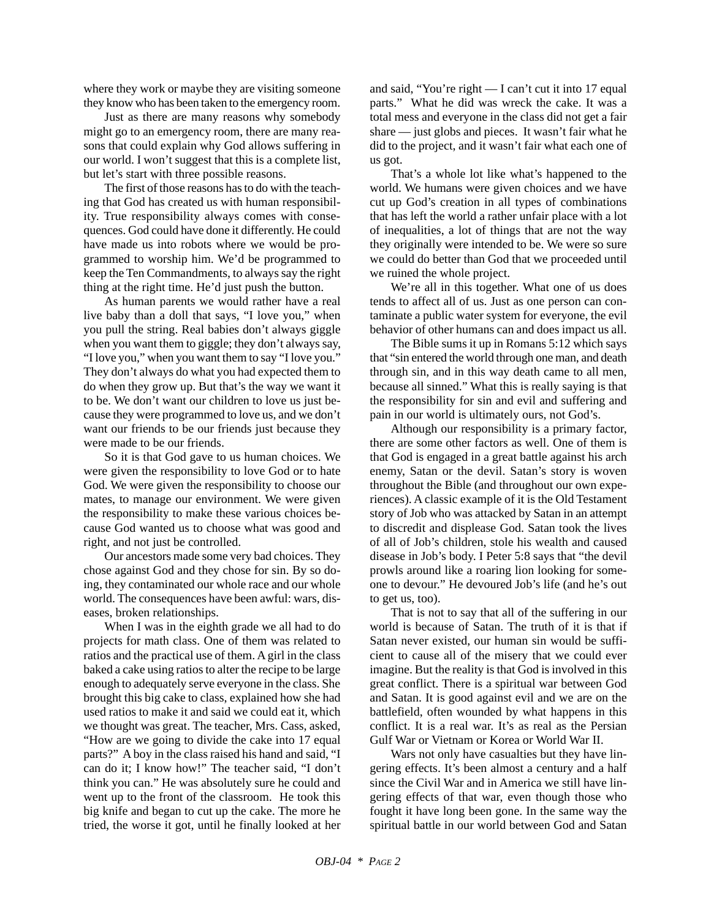where they work or maybe they are visiting someone they know who has been taken to the emergency room.

Just as there are many reasons why somebody might go to an emergency room, there are many reasons that could explain why God allows suffering in our world. I won't suggest that this is a complete list, but let's start with three possible reasons.

The first of those reasons has to do with the teaching that God has created us with human responsibility. True responsibility always comes with consequences. God could have done it differently. He could have made us into robots where we would be programmed to worship him. We'd be programmed to keep the Ten Commandments, to always say the right thing at the right time. He'd just push the button.

As human parents we would rather have a real live baby than a doll that says, "I love you," when you pull the string. Real babies don't always giggle when you want them to giggle; they don't always say, "I love you," when you want them to say "I love you." They don't always do what you had expected them to do when they grow up. But that's the way we want it to be. We don't want our children to love us just because they were programmed to love us, and we don't want our friends to be our friends just because they were made to be our friends.

So it is that God gave to us human choices. We were given the responsibility to love God or to hate God. We were given the responsibility to choose our mates, to manage our environment. We were given the responsibility to make these various choices because God wanted us to choose what was good and right, and not just be controlled.

Our ancestors made some very bad choices. They chose against God and they chose for sin. By so doing, they contaminated our whole race and our whole world. The consequences have been awful: wars, diseases, broken relationships.

When I was in the eighth grade we all had to do projects for math class. One of them was related to ratios and the practical use of them. A girl in the class baked a cake using ratios to alter the recipe to be large enough to adequately serve everyone in the class. She brought this big cake to class, explained how she had used ratios to make it and said we could eat it, which we thought was great. The teacher, Mrs. Cass, asked, "How are we going to divide the cake into 17 equal parts?" A boy in the class raised his hand and said, "I can do it; I know how!" The teacher said, "I don't think you can." He was absolutely sure he could and went up to the front of the classroom. He took this big knife and began to cut up the cake. The more he tried, the worse it got, until he finally looked at her and said, "You're right — I can't cut it into 17 equal parts." What he did was wreck the cake. It was a total mess and everyone in the class did not get a fair share — just globs and pieces. It wasn't fair what he did to the project, and it wasn't fair what each one of us got.

That's a whole lot like what's happened to the world. We humans were given choices and we have cut up God's creation in all types of combinations that has left the world a rather unfair place with a lot of inequalities, a lot of things that are not the way they originally were intended to be. We were so sure we could do better than God that we proceeded until we ruined the whole project.

We're all in this together. What one of us does tends to affect all of us. Just as one person can contaminate a public water system for everyone, the evil behavior of other humans can and does impact us all.

The Bible sums it up in Romans 5:12 which says that "sin entered the world through one man, and death through sin, and in this way death came to all men, because all sinned." What this is really saying is that the responsibility for sin and evil and suffering and pain in our world is ultimately ours, not God's.

Although our responsibility is a primary factor, there are some other factors as well. One of them is that God is engaged in a great battle against his arch enemy, Satan or the devil. Satan's story is woven throughout the Bible (and throughout our own experiences). A classic example of it is the Old Testament story of Job who was attacked by Satan in an attempt to discredit and displease God. Satan took the lives of all of Job's children, stole his wealth and caused disease in Job's body. I Peter 5:8 says that "the devil prowls around like a roaring lion looking for someone to devour." He devoured Job's life (and he's out to get us, too).

That is not to say that all of the suffering in our world is because of Satan. The truth of it is that if Satan never existed, our human sin would be sufficient to cause all of the misery that we could ever imagine. But the reality is that God is involved in this great conflict. There is a spiritual war between God and Satan. It is good against evil and we are on the battlefield, often wounded by what happens in this conflict. It is a real war. It's as real as the Persian Gulf War or Vietnam or Korea or World War II.

Wars not only have casualties but they have lingering effects. It's been almost a century and a half since the Civil War and in America we still have lingering effects of that war, even though those who fought it have long been gone. In the same way the spiritual battle in our world between God and Satan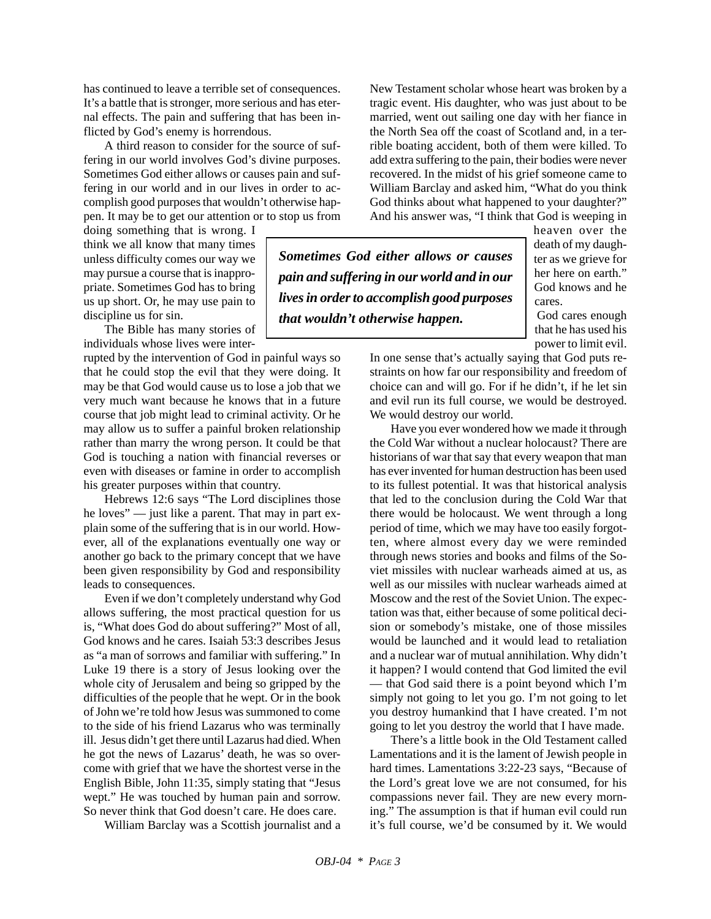has continued to leave a terrible set of consequences. It's a battle that is stronger, more serious and has eternal effects. The pain and suffering that has been inflicted by God's enemy is horrendous.

A third reason to consider for the source of suffering in our world involves God's divine purposes. Sometimes God either allows or causes pain and suffering in our world and in our lives in order to accomplish good purposes that wouldn't otherwise happen. It may be to get our attention or to stop us from

doing something that is wrong. I think we all know that many times unless difficulty comes our way we may pursue a course that is inappropriate. Sometimes God has to bring us up short. Or, he may use pain to discipline us for sin.

The Bible has many stories of individuals whose lives were inter-

rupted by the intervention of God in painful ways so that he could stop the evil that they were doing. It may be that God would cause us to lose a job that we very much want because he knows that in a future course that job might lead to criminal activity. Or he may allow us to suffer a painful broken relationship rather than marry the wrong person. It could be that God is touching a nation with financial reverses or even with diseases or famine in order to accomplish his greater purposes within that country.

Hebrews 12:6 says "The Lord disciplines those he loves" — just like a parent. That may in part explain some of the suffering that is in our world. However, all of the explanations eventually one way or another go back to the primary concept that we have been given responsibility by God and responsibility leads to consequences.

Even if we don't completely understand why God allows suffering, the most practical question for us is, "What does God do about suffering?" Most of all, God knows and he cares. Isaiah 53:3 describes Jesus as "a man of sorrows and familiar with suffering." In Luke 19 there is a story of Jesus looking over the whole city of Jerusalem and being so gripped by the difficulties of the people that he wept. Or in the book of John we're told how Jesus was summoned to come to the side of his friend Lazarus who was terminally ill. Jesus didn't get there until Lazarus had died. When he got the news of Lazarus' death, he was so overcome with grief that we have the shortest verse in the English Bible, John 11:35, simply stating that "Jesus wept." He was touched by human pain and sorrow. So never think that God doesn't care. He does care.

William Barclay was a Scottish journalist and a

New Testament scholar whose heart was broken by a tragic event. His daughter, who was just about to be married, went out sailing one day with her fiance in the North Sea off the coast of Scotland and, in a terrible boating accident, both of them were killed. To add extra suffering to the pain, their bodies were never recovered. In the midst of his grief someone came to William Barclay and asked him, "What do you think God thinks about what happened to your daughter?" And his answer was, "I think that God is weeping in

*Sometimes God either allows or causes pain and suffering in our world and in our lives in order to accomplish good purposes that wouldn't otherwise happen.*

heaven over the death of my daughter as we grieve for her here on earth." God knows and he cares.

God cares enough that he has used his power to limit evil.

In one sense that's actually saying that God puts restraints on how far our responsibility and freedom of choice can and will go. For if he didn't, if he let sin and evil run its full course, we would be destroyed. We would destroy our world.

Have you ever wondered how we made it through the Cold War without a nuclear holocaust? There are historians of war that say that every weapon that man has ever invented for human destruction has been used to its fullest potential. It was that historical analysis that led to the conclusion during the Cold War that there would be holocaust. We went through a long period of time, which we may have too easily forgotten, where almost every day we were reminded through news stories and books and films of the Soviet missiles with nuclear warheads aimed at us, as well as our missiles with nuclear warheads aimed at Moscow and the rest of the Soviet Union. The expectation was that, either because of some political decision or somebody's mistake, one of those missiles would be launched and it would lead to retaliation and a nuclear war of mutual annihilation. Why didn't it happen? I would contend that God limited the evil — that God said there is a point beyond which I'm simply not going to let you go. I'm not going to let you destroy humankind that I have created. I'm not going to let you destroy the world that I have made.

There's a little book in the Old Testament called Lamentations and it is the lament of Jewish people in hard times. Lamentations 3:22-23 says, "Because of the Lord's great love we are not consumed, for his compassions never fail. They are new every morning." The assumption is that if human evil could run it's full course, we'd be consumed by it. We would